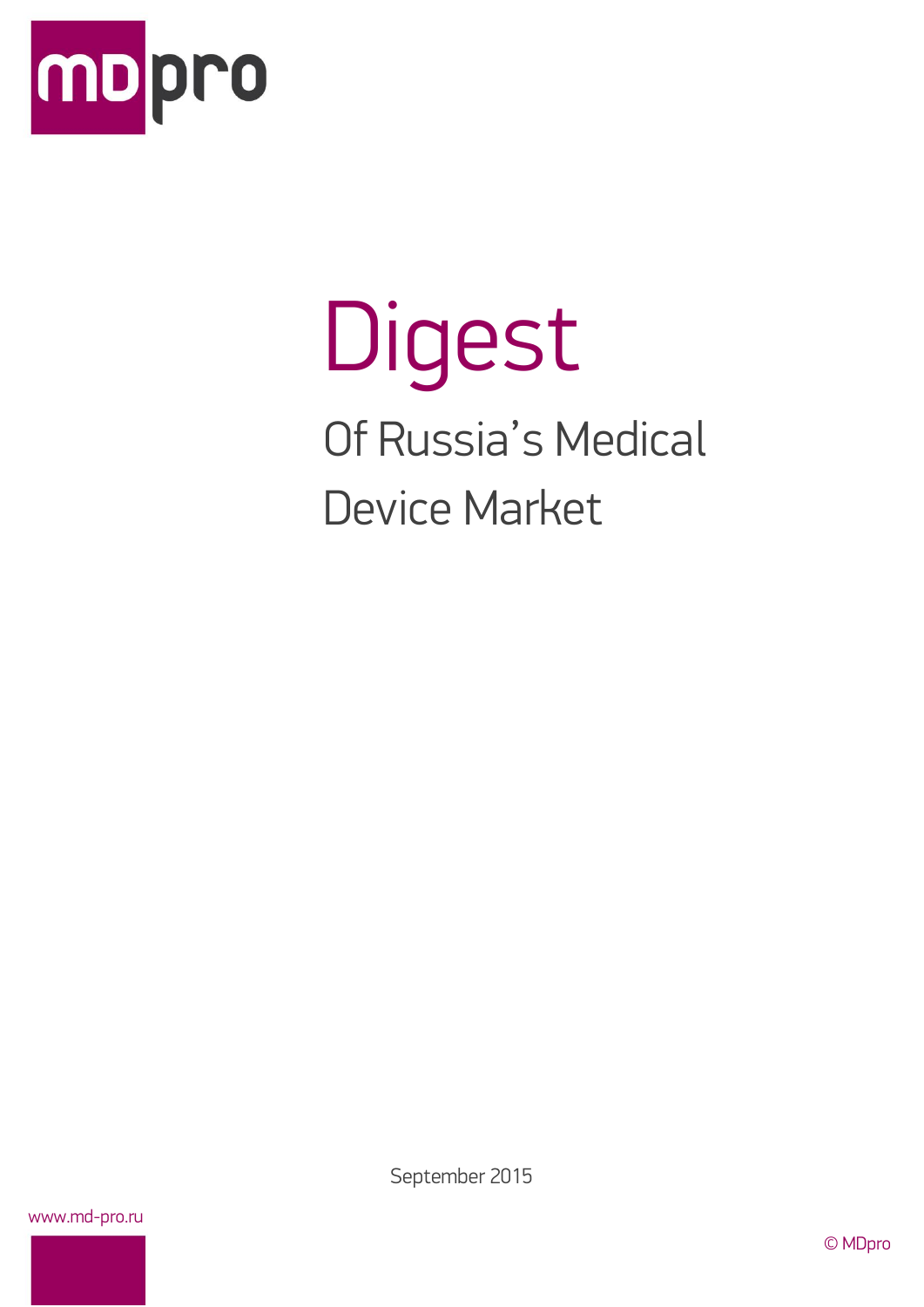

# Digest Of Russia's Medical Device Market

September 2015

www.md-pro.ru

© MDpro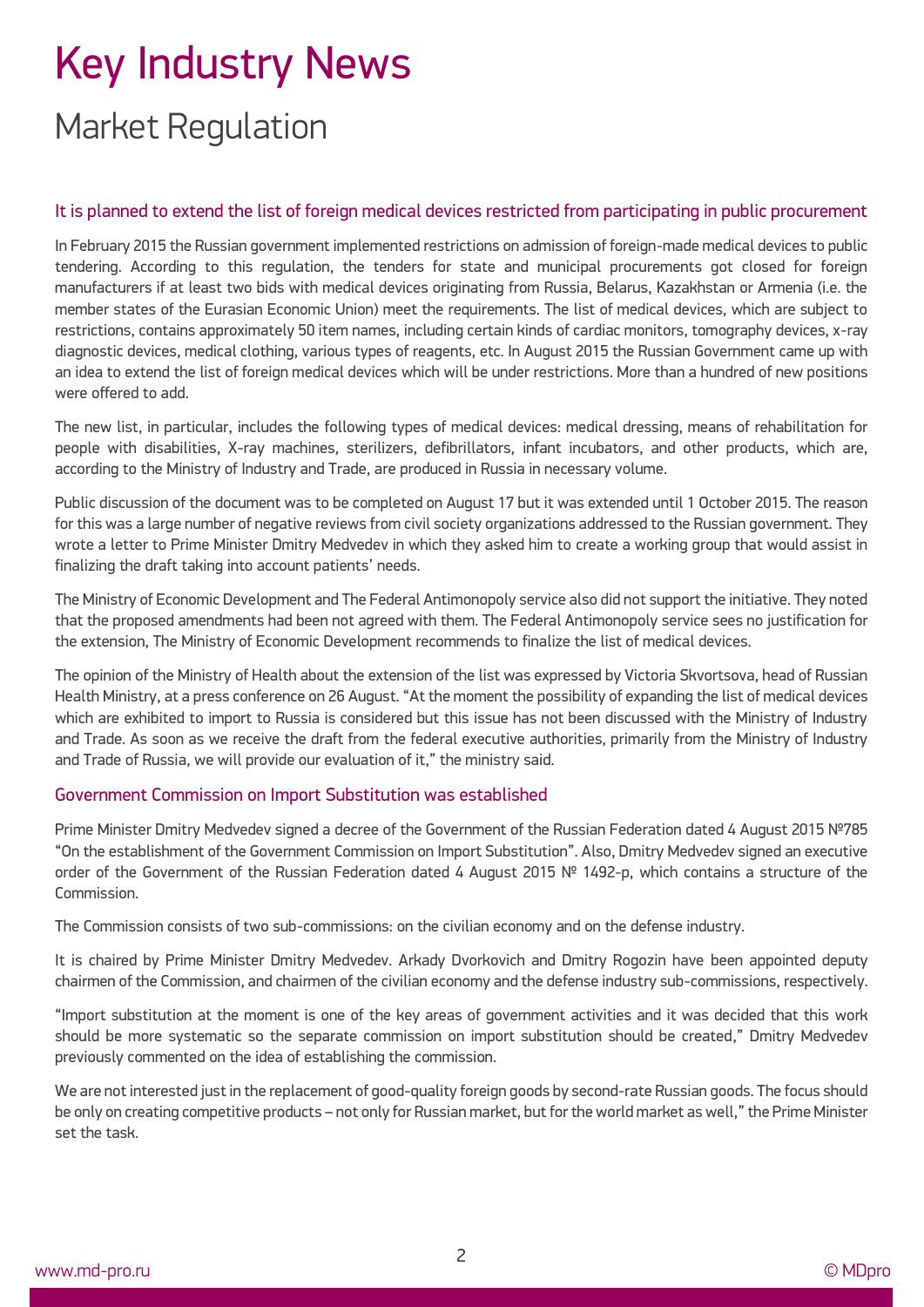# Key Industry News Market Regulation

#### It is planned to extend the list of foreign medical devices restricted from participating in public procurement

In February 2015 the Russian government implemented restrictions on admission of foreign-made medical devices to public tendering. According to this regulation, the tenders for state and municipal procurements got closed for foreign manufacturers if at least two bids with medical devices originating from Russia, Belarus, Kazakhstan or Armenia (i.e. the member states of the Eurasian Economic Union) meet the requirements. The list of medical devices, which are subject to restrictions, contains approximately 50 item names, including certain kinds of cardiac monitors, tomography devices, x-ray diagnostic devices, medical clothing, various types of reagents, etc. In August 2015 the Russian Government came up with an idea to extend the list of foreign medical devices which will be under restrictions. More than a hundred of new positions were offered to add.

The new list, in particular, includes the following types of medical devices: medical dressing, means of rehabilitation for people with disabilities, X-ray machines, sterilizers, defibrillators, infant incubators, and other products, which are, according to the Ministry of Industry and Trade, are produced in Russia in necessary volume.

Public discussion of the document was to be completed on August 17 but it was extended until 1 October 2015. The reason for this was a large number of negative reviews from civil society organizations addressed to the Russian government. They wrote a letter to Prime Minister Dmitry Medvedev in which they asked him to create a working group that would assist in finalizing the draft taking into account patients' needs.

The Ministry of Economic Development and The Federal Antimonopoly service also did not support the initiative. They noted that the proposed amendments had been not agreed with them. The Federal Antimonopoly service sees no justification for the extension, The Ministry of Economic Development recommends to finalize the list of medical devices.

The opinion of the Ministry of Health about the extension of the list was expressed by Victoria Skvortsova, head of Russian Health Ministry, at a press conference on 26 August. "At the moment the possibility of expanding the list of medical devices which are exhibited to import to Russia is considered but this issue has not been discussed with the Ministry of Industry and Trade. As soon as we receive the draft from the federal executive authorities, primarily from the Ministry of Industry and Trade of Russia, we will provide our evaluation of it," the ministry said.

#### Government Commission on Import Substitution was established

Prime Minister Dmitry Medvedev signed a decree of the Government of the Russian Federation dated 4 August 2015 №785 "On the establishment of the Government Commission on Import Substitution". Also, Dmitry Medvedev signed an executive order of the Government of the Russian Federation dated 4 August 2015 № 1492-p, which contains a structure of the Commission.

The Commission consists of two sub-commissions: on the civilian economy and on the defense industry.

It is chaired by Prime Minister Dmitry Medvedev. Arkady Dvorkovich and Dmitry Rogozin have been appointed deputy chairmen of the Commission, and chairmen of the civilian economy and the defense industry sub-commissions, respectively.

"Import substitution at the moment is one of the key areas of government activities and it was decided that this work should be more systematic so the separate commission on import substitution should be created," Dmitry Medvedev previously commented on the idea of establishing the commission.

We are not interested just in the replacement of good-quality foreign goods by second-rate Russian goods. The focus should be only on creating competitive products – not only for Russian market, but for the world market as well," the Prime Minister set the task.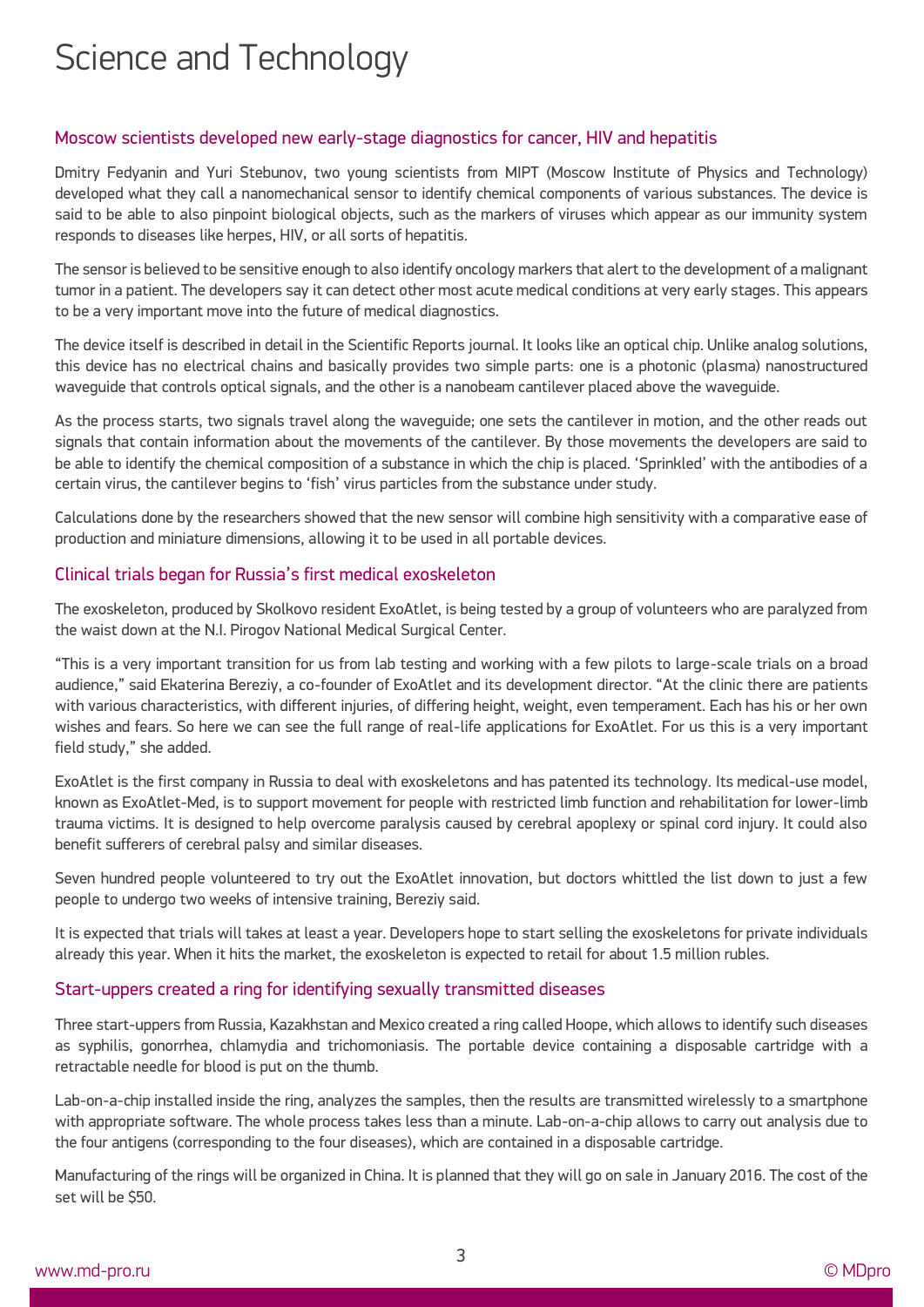### Science and Technology

#### Moscow scientists developed new early-stage diagnostics for cancer, HIV and hepatitis

Dmitry Fedyanin and Yuri Stebunov, two young scientists from MIPT (Moscow Institute of Physics and Technology) developed what they call a nanomechanical sensor to identify chemical components of various substances. The device is said to be able to also pinpoint biological objects, such as the markers of viruses which appear as our immunity system responds to diseases like herpes, HIV, or all sorts of hepatitis.

The sensor is believed to be sensitive enough to also identify oncology markers that alert to the development of a malignant tumor in a patient. The developers say it can detect other most acute medical conditions at very early stages. This appears to be a very important move into the future of medical diagnostics.

The device itself is described in detail in the Scientific Reports journal. It looks like an optical chip. Unlike analog solutions, this device has no electrical chains and basically provides two simple parts: one is a photonic (plasma) nanostructured waveguide that controls optical signals, and the other is a nanobeam cantilever placed above the waveguide.

As the process starts, two signals travel along the waveguide; one sets the cantilever in motion, and the other reads out signals that contain information about the movements of the cantilever. By those movements the developers are said to be able to identify the chemical composition of a substance in which the chip is placed. 'Sprinkled' with the antibodies of a certain virus, the cantilever begins to 'fish' virus particles from the substance under study.

Calculations done by the researchers showed that the new sensor will combine high sensitivity with a comparative ease of production and miniature dimensions, allowing it to be used in all portable devices.

#### Clinical trials began for Russia's first medical exoskeleton

The exoskeleton, produced by Skolkovo resident ExoAtlet, is being tested by a group of volunteers who are paralyzed from the waist down at the N.I. Pirogov National Medical Surgical Center.

"This is a very important transition for us from lab testing and working with a few pilots to large-scale trials on a broad audience," said Ekaterina Bereziy, a co-founder of ExoAtlet and its development director. "At the clinic there are patients with various characteristics, with different injuries, of differing height, weight, even temperament. Each has his or her own wishes and fears. So here we can see the full range of real-life applications for ExoAtlet. For us this is a very important field study," she added.

ExoAtlet is the first company in Russia to deal with exoskeletons and has patented its technology. Its medical-use model, known as ExoAtlet-Med, is to support movement for people with restricted limb function and rehabilitation for lower-limb trauma victims. It is designed to help overcome paralysis caused by cerebral apoplexy or spinal cord injury. It could also benefit sufferers of cerebral palsy and similar diseases.

Seven hundred people volunteered to try out the ExoAtlet innovation, but doctors whittled the list down to just a few people to undergo two weeks of intensive training, Bereziy said.

It is expected that trials will takes at least a year. Developers hope to start selling the exoskeletons for private individuals already this year. When it hits the market, the exoskeleton is expected to retail for about 1.5 million rubles.

#### Start-uppers created a ring for identifying sexually transmitted diseases

Three start-uppers from Russia, Kazakhstan and Mexico created a ring called Hoope, which allows to identify such diseases as syphilis, gonorrhea, chlamydia and trichomoniasis. The portable device containing a disposable cartridge with a retractable needle for blood is put on the thumb.

Lab-on-a-chip installed inside the ring, analyzes the samples, then the results are transmitted wirelessly to a smartphone with appropriate software. The whole process takes less than a minute. Lab-on-a-chip allows to carry out analysis due to the four antigens (corresponding to the four diseases), which are contained in a disposable cartridge.

Manufacturing of the rings will be organized in China. It is planned that they will go on sale in January 2016. The cost of the set will be \$50.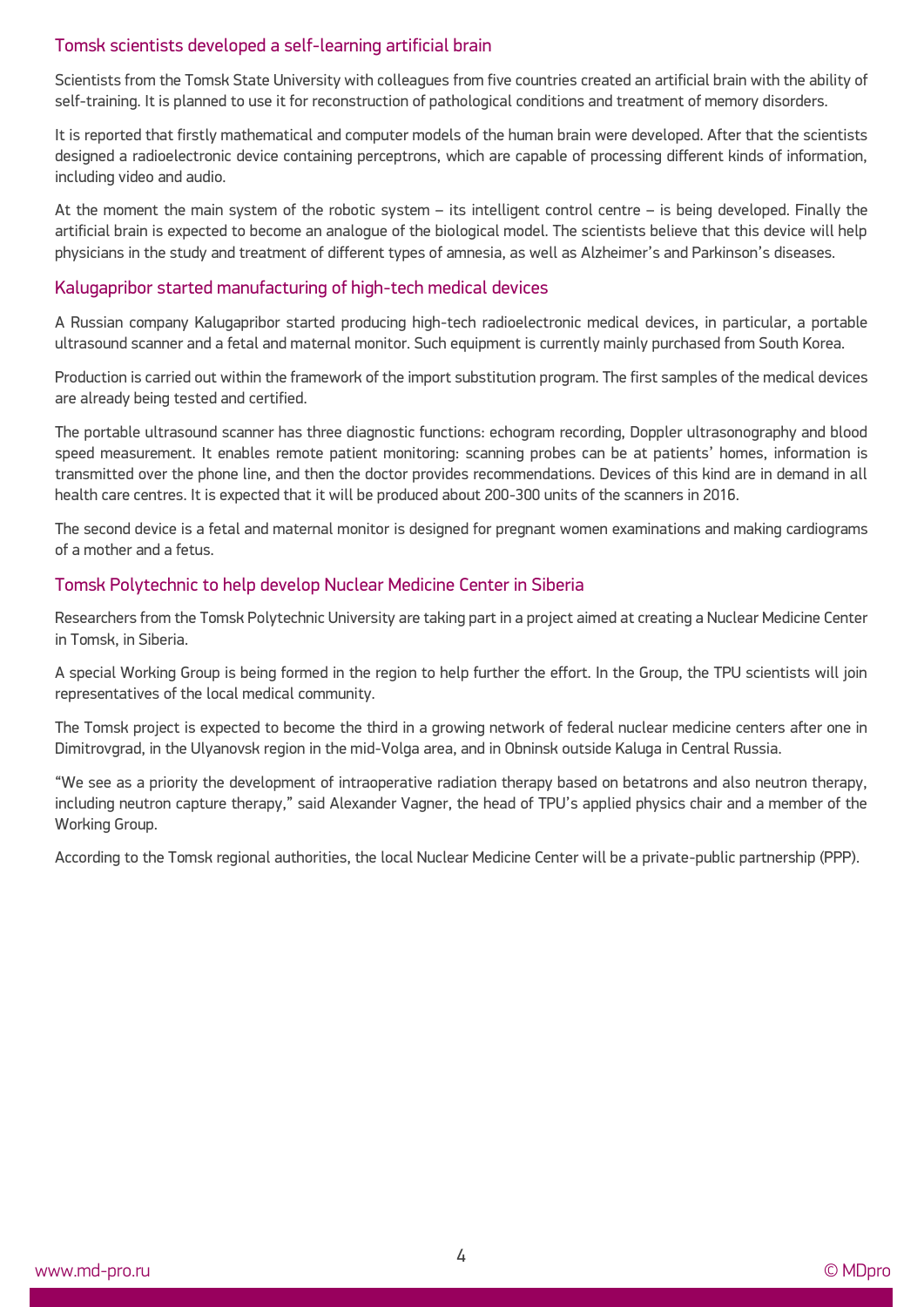#### Tomsk scientists developed a self-learning artificial brain

Scientists from the Tomsk State University with colleagues from five countries created an artificial brain with the ability of self-training. It is planned to use it for reconstruction of pathological conditions and treatment of memory disorders.

It is reported that firstly mathematical and computer models of the human brain were developed. After that the scientists designed a radioelectronic device containing perceptrons, which are capable of processing different kinds of information, including video and audio.

At the moment the main system of the robotic system – its intelligent control сentre – is being developed. Finally the artificial brain is expected to become an analogue of the biological model. The scientists believe that this device will help physicians in the study and treatment of different types of amnesia, as well as Alzheimer's and Parkinson's diseases.

#### Kalugapribor started manufacturing of high-tech medical devices

A Russian company Kalugapribor started producing high-tech radioelectronic medical devices, in particular, a portable ultrasound scanner and a fetal and maternal monitor. Such equipment is currently mainly purchased from South Korea.

Production is carried out within the framework of the import substitution program. The first samples of the medical devices are already being tested and certified.

The portable ultrasound scanner has three diagnostic functions: echogram recording, Doppler ultrasonography and blood speed measurement. It enables remote patient monitoring: scanning probes can be at patients' homes, information is transmitted over the phone line, and then the doctor provides recommendations. Devices of this kind are in demand in all health care centres. It is expected that it will be produced about 200-300 units of the scanners in 2016.

The second device is a fetal and maternal monitor is designed for pregnant women examinations and making cardiograms of a mother and a fetus.

#### Tomsk Polytechnic to help develop Nuclear Medicine Center in Siberia

Researchers from the Tomsk Polytechnic University are taking part in a project aimed at creating a Nuclear Medicine Center in Tomsk, in Siberia.

A special Working Group is being formed in the region to help further the effort. In the Group, the TPU scientists will join representatives of the local medical community.

The Tomsk project is expected to become the third in a growing network of federal nuclear medicine centers after one in Dimitrovgrad, in the Ulyanovsk region in the mid-Volga area, and in Obninsk outside Kaluga in Central Russia.

"We see as a priority the development of intraoperative radiation therapy based on betatrons and also neutron therapy, including neutron capture therapy," said Alexander Vagner, the head of TPU's applied physics chair and a member of the Working Group.

According to the Tomsk regional authorities, the local Nuclear Medicine Center will be a private-public partnership (PPP).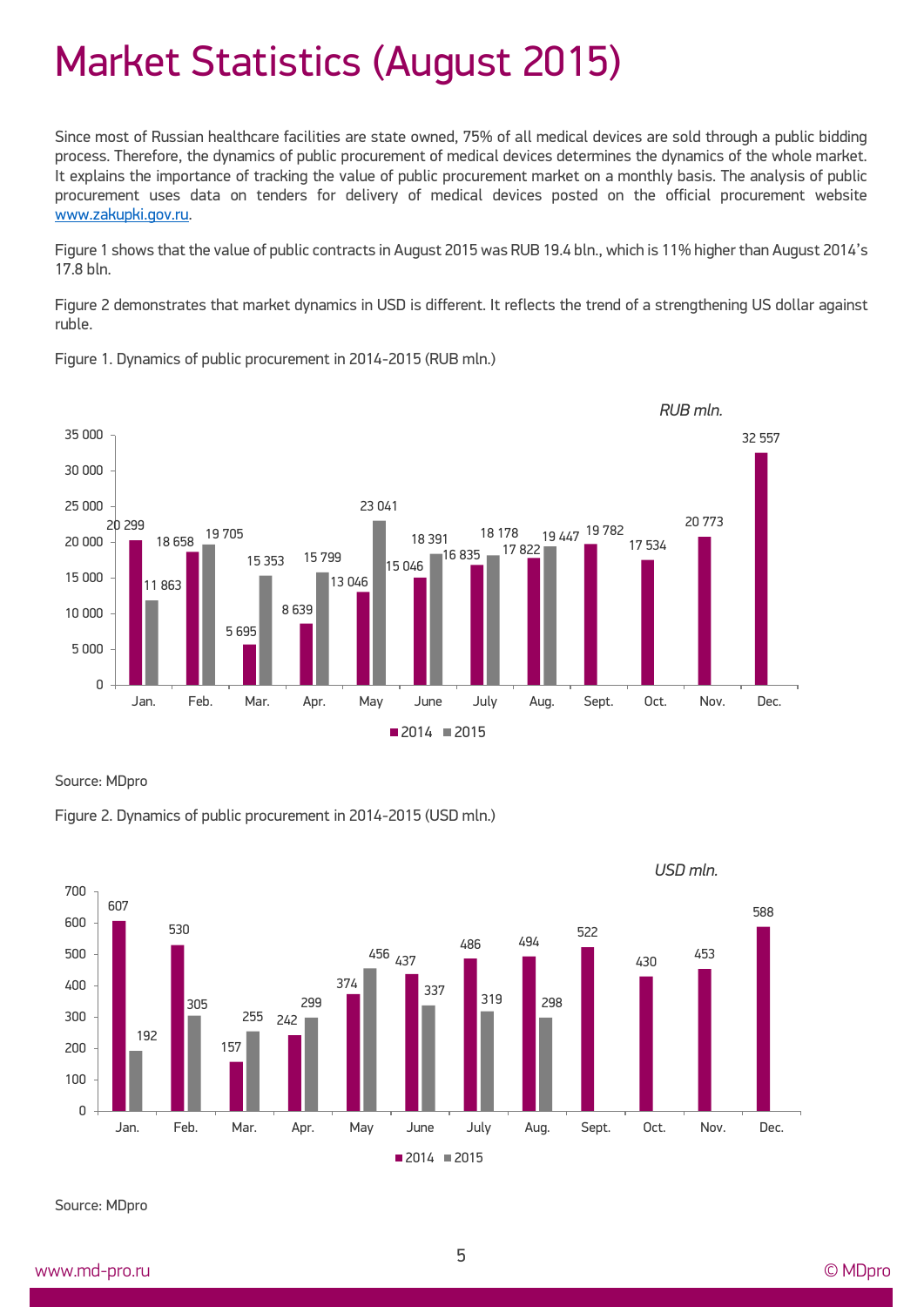## Market Statistics (August 2015)

Since most of Russian healthcare facilities are state owned, 75% of all medical devices are sold through a public bidding process. Therefore, the dynamics of public procurement of medical devices determines the dynamics of the whole market. It explains the importance of tracking the value of public procurement market on a monthly basis. The analysis of public procurement uses data on tenders for delivery of medical devices posted on the official procurement website [www.zakupki.gov.ru.](http://www.zakupki.gov.ru/)

Figure 1 shows that the value of public contracts in August 2015 was RUB 19.4 bln., which is 11% higher than August 2014's 17.8 bln.

Figure 2 demonstrates that market dynamics in USD is different. It reflects the trend of a strengthening US dollar against ruble.



Figure 1. Dynamics of public procurement in 2014-2015 (RUB mln.)

Source: MDpro





Source: MDpro